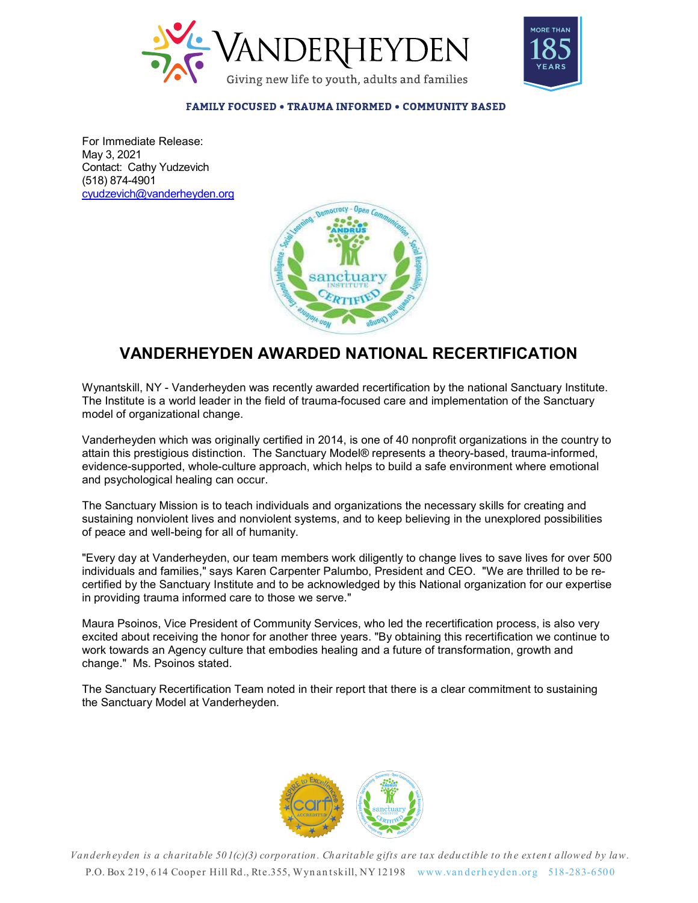



**FAMILY FOCUSED • TRAUMA INFORMED • COMMUNITY BASED** 

For Immediate Release: May 3, 2021 Contact: Cathy Yudzevich (518) 874-4901 cyudzevich@vanderheyden.org



## VANDERHEYDEN AWARDED NATIONAL RECERTIFICATION

Wynantskill, NY - Vanderheyden was recently awarded recertification by the national Sanctuary Institute. The Institute is a world leader in the field of trauma-focused care and implementation of the Sanctuary model of organizational change.

Vanderheyden which was originally certified in 2014, is one of 40 nonprofit organizations in the country to attain this prestigious distinction. The Sanctuary Model® represents a theory-based, trauma-informed, evidence-supported, whole-culture approach, which helps to build a safe environment where emotional and psychological healing can occur.

The Sanctuary Mission is to teach individuals and organizations the necessary skills for creating and sustaining nonviolent lives and nonviolent systems, and to keep believing in the unexplored possibilities of peace and well-being for all of humanity.

"Every day at Vanderheyden, our team members work diligently to change lives to save lives for over 500 individuals and families," says Karen Carpenter Palumbo, President and CEO. "We are thrilled to be recertified by the Sanctuary Institute and to be acknowledged by this National organization for our expertise in providing trauma informed care to those we serve."

ertified by the Sanctuary Institute and to be acknowledged by this National organization for our expertise<br>providing trauma informed care to those we serve."<br>Marra Psoinos, Vice President of Community Services, who led the Every way are various the sanctuary listed in the interimbers work singleting to value the extent including the Sanctuary Institute and to be acknowledged by this National organization for our expertise of providing transm Maura Psoinos, Vice President of Community Services, who led the recertification process, is also very excited about receiving the honor for another three years. "By obtaining this recertification we continue to work towards an Agency culture that embodies healing and a future of transformation, growth and change." Ms. Psoinos stated.

The Sanctuary Recertification Team noted in their report that there is a clear commitment to sustaining the Sanctuary Model at Vanderheyden.